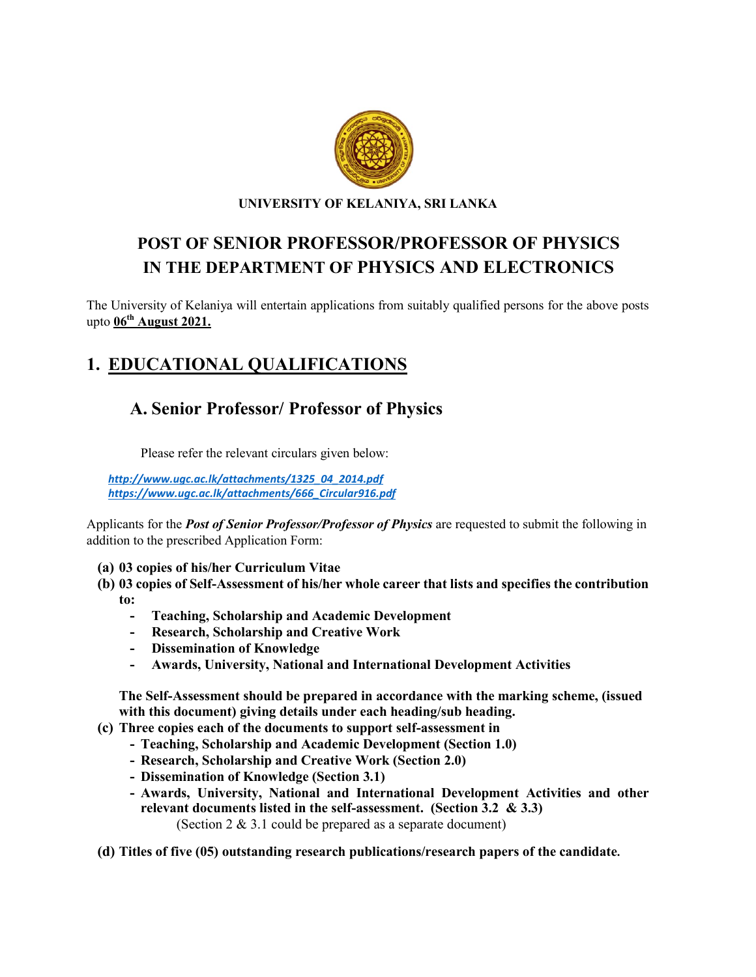

UNIVERSITY OF KELANIYA, SRI LANKA

## POST OF SENIOR PROFESSOR/PROFESSOR OF PHYSICS IN THE DEPARTMENT OF PHYSICS AND ELECTRONICS

The University of Kelaniya will entertain applications from suitably qualified persons for the above posts upto  $06^{th}$  August 2021.

# 1. EDUCATIONAL QUALIFICATIONS

## A. Senior Professor/ Professor of Physics

Please refer the relevant circulars given below:

*[http://www.ugc.ac.lk/attachments/1325\\_04\\_2014.pdf](http://www.ugc.ac.lk/attachments/1325_04_2014.pdf) https://www.ugc.ac.lk/attachments/666\_Circular916.pdf*

Applicants for the *Post of Senior Professor/Professor of Physics* are requested to submit the following in addition to the prescribed Application Form:

- (a) 03 copies of his/her Curriculum Vitae
- (b) 03 copies of Self-Assessment of his/her whole career that lists and specifies the contribution to:
	- Teaching, Scholarship and Academic Development
	- Research, Scholarship and Creative Work
	- Dissemination of Knowledge
	- Awards, University, National and International Development Activities

The Self-Assessment should be prepared in accordance with the marking scheme, (issued with this document) giving details under each heading/sub heading.

- (c) Three copies each of the documents to support self-assessment in
	- Teaching, Scholarship and Academic Development (Section 1.0)
	- Research, Scholarship and Creative Work (Section 2.0)
	- Dissemination of Knowledge (Section 3.1)
	- Awards, University, National and International Development Activities and other relevant documents listed in the self-assessment. (Section 3.2 & 3.3) (Section 2 & 3.1 could be prepared as a separate document)

(d) Titles of five (05) outstanding research publications/research papers of the candidate.